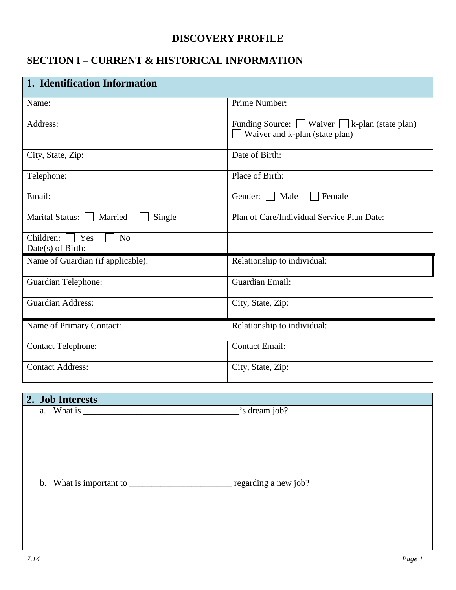## **DISCOVERY PROFILE**

## **SECTION I – CURRENT & HISTORICAL INFORMATION**

| 1. Identification Information                               |                                                                                            |  |  |  |  |  |  |
|-------------------------------------------------------------|--------------------------------------------------------------------------------------------|--|--|--|--|--|--|
| Name:                                                       | Prime Number:                                                                              |  |  |  |  |  |  |
| Address:                                                    | Funding Source: $\Box$ Waiver $\Box$ k-plan (state plan)<br>Waiver and k-plan (state plan) |  |  |  |  |  |  |
| City, State, Zip:                                           | Date of Birth:                                                                             |  |  |  |  |  |  |
| Telephone:                                                  | Place of Birth:                                                                            |  |  |  |  |  |  |
| Email:                                                      | Male<br>Female<br>Gender:                                                                  |  |  |  |  |  |  |
| Marital Status:<br>Married<br>Single                        | Plan of Care/Individual Service Plan Date:                                                 |  |  |  |  |  |  |
| Children: $\Box$ Yes<br>N <sub>o</sub><br>Date(s) of Birth: |                                                                                            |  |  |  |  |  |  |
| Name of Guardian (if applicable):                           | Relationship to individual:                                                                |  |  |  |  |  |  |
| Guardian Telephone:                                         | Guardian Email:                                                                            |  |  |  |  |  |  |
| <b>Guardian Address:</b>                                    | City, State, Zip:                                                                          |  |  |  |  |  |  |
| Name of Primary Contact:                                    | Relationship to individual:                                                                |  |  |  |  |  |  |
| <b>Contact Telephone:</b>                                   | <b>Contact Email:</b>                                                                      |  |  |  |  |  |  |
| <b>Contact Address:</b>                                     | City, State, Zip:                                                                          |  |  |  |  |  |  |

## **2. Job Interests**

a. What is  $\frac{1}{2}$  is dream job?

b. What is important to \_\_\_\_\_\_\_\_\_\_\_\_\_\_\_\_\_\_\_\_\_\_\_\_\_\_\_\_\_ regarding a new job?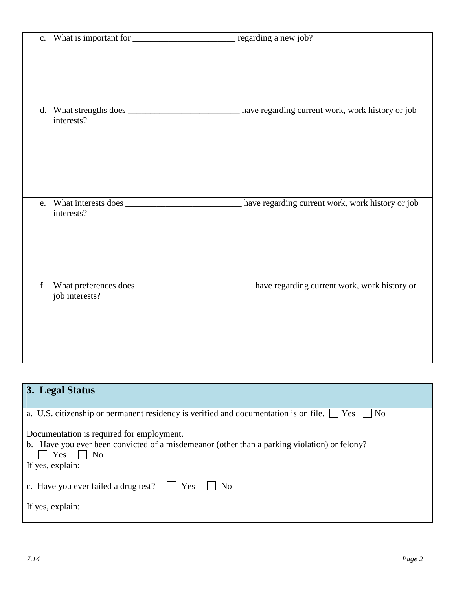|    | interests?     | d. What strengths does ________________________ have regarding current work, work history or job   |
|----|----------------|----------------------------------------------------------------------------------------------------|
| e. | interests?     | What interests does _____________________________ have regarding current work, work history or job |
| f. | job interests? | What preferences does ____________________________ have regarding current work, work history or    |

| 3. Legal Status                                                                                 |
|-------------------------------------------------------------------------------------------------|
| N <sub>0</sub>                                                                                  |
| a. U.S. citizenship or permanent residency is verified and documentation is on file. $\Box$ Yes |
| Documentation is required for employment.                                                       |
| b. Have you ever been convicted of a misdemeanor (other than a parking violation) or felony?    |
| Yes<br>$\vert$   No                                                                             |
| If yes, explain:                                                                                |
|                                                                                                 |
| Yes<br>c. Have you ever failed a drug test?<br>No                                               |
|                                                                                                 |
|                                                                                                 |
|                                                                                                 |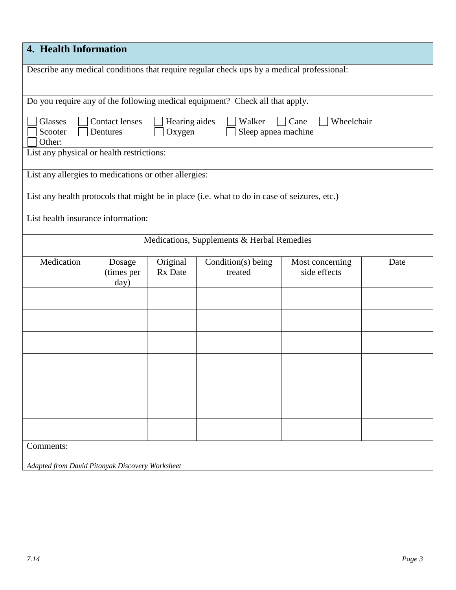| 4. Health Information                                                                        |                         |                                            |                                 |      |
|----------------------------------------------------------------------------------------------|-------------------------|--------------------------------------------|---------------------------------|------|
| Describe any medical conditions that require regular check ups by a medical professional:    |                         |                                            |                                 |      |
| Do you require any of the following medical equipment? Check all that apply.                 |                         |                                            |                                 |      |
| Glasses<br><b>Contact lenses</b><br>Scooter<br>Dentures<br>Other:                            | Hearing aides<br>Oxygen | Walker<br>Sleep apnea machine              | Wheelchair<br>Cane              |      |
| List any physical or health restrictions:                                                    |                         |                                            |                                 |      |
| List any allergies to medications or other allergies:                                        |                         |                                            |                                 |      |
| List any health protocols that might be in place (i.e. what to do in case of seizures, etc.) |                         |                                            |                                 |      |
| List health insurance information:                                                           |                         |                                            |                                 |      |
|                                                                                              |                         | Medications, Supplements & Herbal Remedies |                                 |      |
| Medication<br>Dosage<br>(times per<br>day)                                                   | Original<br>Rx Date     | Condition(s) being<br>treated              | Most concerning<br>side effects | Date |
|                                                                                              |                         |                                            |                                 |      |
|                                                                                              |                         |                                            |                                 |      |
|                                                                                              |                         |                                            |                                 |      |
|                                                                                              |                         |                                            |                                 |      |
|                                                                                              |                         |                                            |                                 |      |
|                                                                                              |                         |                                            |                                 |      |
|                                                                                              |                         |                                            |                                 |      |
| Comments:<br>Adapted from David Pitonyak Discovery Worksheet                                 |                         |                                            |                                 |      |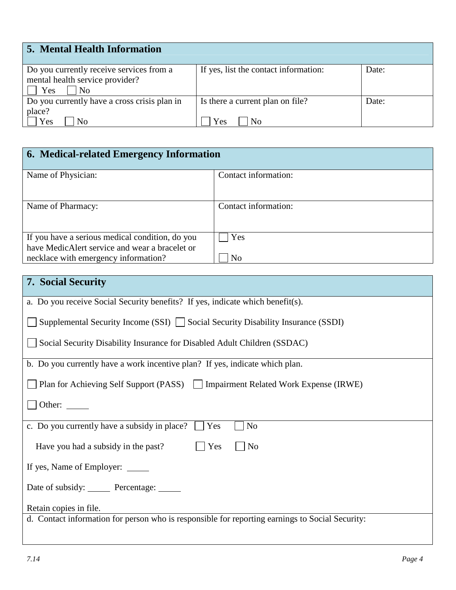| <b>5. Mental Health Information</b>                                                      |                                                           |       |
|------------------------------------------------------------------------------------------|-----------------------------------------------------------|-------|
| Do you currently receive services from a<br>mental health service provider?<br>Yes<br>No | If yes, list the contact information:                     | Date: |
| Do you currently have a cross crisis plan in<br>place?<br>Yes<br>No                      | Is there a current plan on file?<br>N <sub>0</sub><br>Yes | Date: |

| 6. Medical-related Emergency Information                                                          |                      |
|---------------------------------------------------------------------------------------------------|----------------------|
| Name of Physician:                                                                                | Contact information: |
| Name of Pharmacy:                                                                                 | Contact information: |
| If you have a serious medical condition, do you<br>have MedicAlert service and wear a bracelet or | Yes                  |
| necklace with emergency information?                                                              | N <sub>0</sub>       |

| <b>7. Social Security</b>                                                                       |
|-------------------------------------------------------------------------------------------------|
| a. Do you receive Social Security benefits? If yes, indicate which benefit(s).                  |
| Supplemental Security Income (SSI) $\Box$ Social Security Disability Insurance (SSDI)           |
| Social Security Disability Insurance for Disabled Adult Children (SSDAC)                        |
| b. Do you currently have a work incentive plan? If yes, indicate which plan.                    |
| Plan for Achieving Self Support (PASS)   Impairment Related Work Expense (IRWE)                 |
| Other: $\_\_$                                                                                   |
| c. Do you currently have a subsidy in place?<br>$\vert$ Yes<br>N <sub>o</sub>                   |
| Yes<br>Have you had a subsidy in the past?<br>N <sub>o</sub>                                    |
| If yes, Name of Employer: _______                                                               |
| Date of subsidy: Percentage: ______                                                             |
| Retain copies in file.                                                                          |
| d. Contact information for person who is responsible for reporting earnings to Social Security: |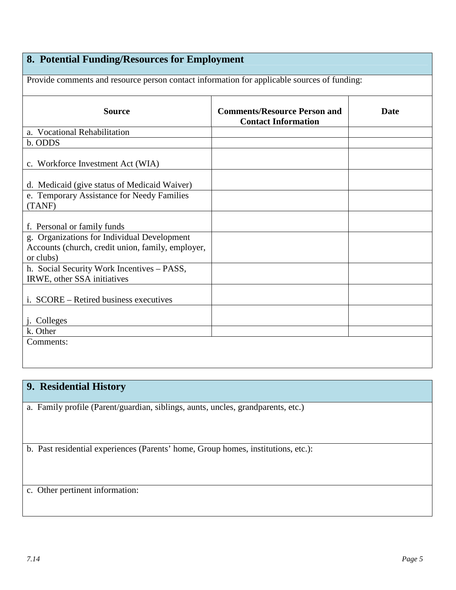## **8. Potential Funding/Resources for Employment**

Provide comments and resource person contact information for applicable sources of funding: **Source Comments/Resource Person and Contact Information Date**  a. Vocational Rehabilitation b. ODDS c. Workforce Investment Act (WIA) d. Medicaid (give status of Medicaid Waiver) e. Temporary Assistance for Needy Families (TANF) f. Personal or family funds g. Organizations for Individual Development Accounts (church, credit union, family, employer, or clubs) h. Social Security Work Incentives – PASS, IRWE, other SSA initiatives i. SCORE – Retired business executives j. Colleges k. Other Comments:

### **9. Residential History**

a. Family profile (Parent/guardian, siblings, aunts, uncles, grandparents, etc.)

b. Past residential experiences (Parents' home, Group homes, institutions, etc.):

c. Other pertinent information: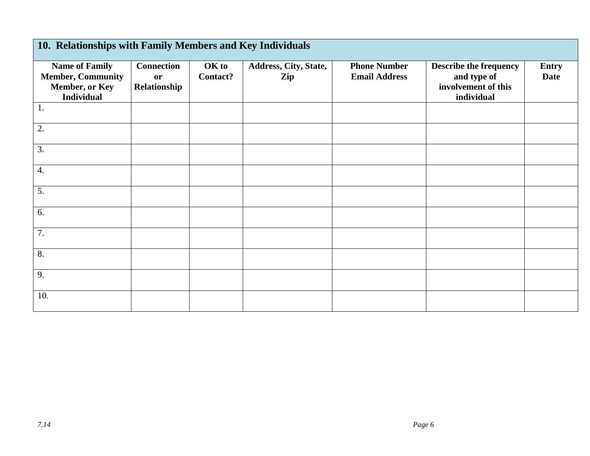| 10. Relationships with Family Members and Key Individuals                                |                                                |                   |                              |                                             |                                                                                   |                             |
|------------------------------------------------------------------------------------------|------------------------------------------------|-------------------|------------------------------|---------------------------------------------|-----------------------------------------------------------------------------------|-----------------------------|
| <b>Name of Family</b><br><b>Member, Community</b><br>Member, or Key<br><b>Individual</b> | <b>Connection</b><br><b>or</b><br>Relationship | OK to<br>Contact? | Address, City, State,<br>Zip | <b>Phone Number</b><br><b>Email Address</b> | <b>Describe the frequency</b><br>and type of<br>involvement of this<br>individual | <b>Entry</b><br><b>Date</b> |
| 1.                                                                                       |                                                |                   |                              |                                             |                                                                                   |                             |
| 2.                                                                                       |                                                |                   |                              |                                             |                                                                                   |                             |
| 3.                                                                                       |                                                |                   |                              |                                             |                                                                                   |                             |
| 4.                                                                                       |                                                |                   |                              |                                             |                                                                                   |                             |
| 5.                                                                                       |                                                |                   |                              |                                             |                                                                                   |                             |
| 6.                                                                                       |                                                |                   |                              |                                             |                                                                                   |                             |
| 7.                                                                                       |                                                |                   |                              |                                             |                                                                                   |                             |
| 8.                                                                                       |                                                |                   |                              |                                             |                                                                                   |                             |
| 9.                                                                                       |                                                |                   |                              |                                             |                                                                                   |                             |
| 10.                                                                                      |                                                |                   |                              |                                             |                                                                                   |                             |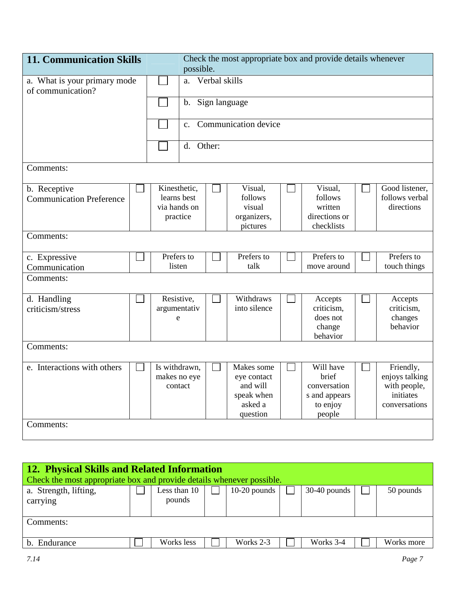| <b>11. Communication Skills</b>                   | Check the most appropriate box and provide details whenever<br>possible. |                                                         |                  |               |                                                                            |  |                                                                           |  |                                                                           |  |
|---------------------------------------------------|--------------------------------------------------------------------------|---------------------------------------------------------|------------------|---------------|----------------------------------------------------------------------------|--|---------------------------------------------------------------------------|--|---------------------------------------------------------------------------|--|
| a. What is your primary mode<br>of communication? |                                                                          |                                                         | a. Verbal skills |               |                                                                            |  |                                                                           |  |                                                                           |  |
|                                                   |                                                                          |                                                         | $\mathbf b$ .    | Sign language |                                                                            |  |                                                                           |  |                                                                           |  |
|                                                   |                                                                          |                                                         | $\mathbf{c}$ .   |               | Communication device                                                       |  |                                                                           |  |                                                                           |  |
|                                                   |                                                                          |                                                         | d.               | Other:        |                                                                            |  |                                                                           |  |                                                                           |  |
| Comments:                                         |                                                                          |                                                         |                  |               |                                                                            |  |                                                                           |  |                                                                           |  |
| b. Receptive<br><b>Communication Preference</b>   |                                                                          | Kinesthetic,<br>learns best<br>via hands on<br>practice |                  |               | Visual,<br>follows<br>visual<br>organizers,<br>pictures                    |  | Visual,<br>follows<br>written<br>directions or<br>checklists              |  | Good listener,<br>follows verbal<br>directions                            |  |
| Comments:                                         |                                                                          |                                                         |                  |               |                                                                            |  |                                                                           |  |                                                                           |  |
| c. Expressive<br>Communication                    |                                                                          | Prefers to<br>listen                                    |                  |               | Prefers to<br>talk                                                         |  | Prefers to<br>move around                                                 |  | Prefers to<br>touch things                                                |  |
| Comments:                                         |                                                                          |                                                         |                  |               |                                                                            |  |                                                                           |  |                                                                           |  |
| d. Handling<br>criticism/stress                   |                                                                          | Resistive,<br>argumentativ<br>e                         |                  |               | Withdraws<br>into silence                                                  |  | Accepts<br>criticism.<br>does not<br>change<br>behavior                   |  | Accepts<br>criticism,<br>changes<br>behavior                              |  |
| Comments:                                         |                                                                          |                                                         |                  |               |                                                                            |  |                                                                           |  |                                                                           |  |
| e. Interactions with others                       |                                                                          | Is withdrawn,<br>makes no eye<br>contact                |                  |               | Makes some<br>eye contact<br>and will<br>speak when<br>asked a<br>question |  | Will have<br>brief<br>conversation<br>s and appears<br>to enjoy<br>people |  | Friendly,<br>enjoys talking<br>with people,<br>initiates<br>conversations |  |
| Comments:                                         |                                                                          |                                                         |                  |               |                                                                            |  |                                                                           |  |                                                                           |  |

| <b>12. Physical Skills and Related Information</b>                    |  |              |  |                |  |                |            |
|-----------------------------------------------------------------------|--|--------------|--|----------------|--|----------------|------------|
| Check the most appropriate box and provide details whenever possible. |  |              |  |                |  |                |            |
| a. Strength, lifting,                                                 |  | Less than 10 |  | $10-20$ pounds |  | $30-40$ pounds | 50 pounds  |
| carrying                                                              |  | pounds       |  |                |  |                |            |
|                                                                       |  |              |  |                |  |                |            |
| Comments:                                                             |  |              |  |                |  |                |            |
|                                                                       |  |              |  |                |  |                |            |
| b. Endurance                                                          |  | Works less   |  | Works 2-3      |  | Works 3-4      | Works more |
|                                                                       |  |              |  |                |  |                |            |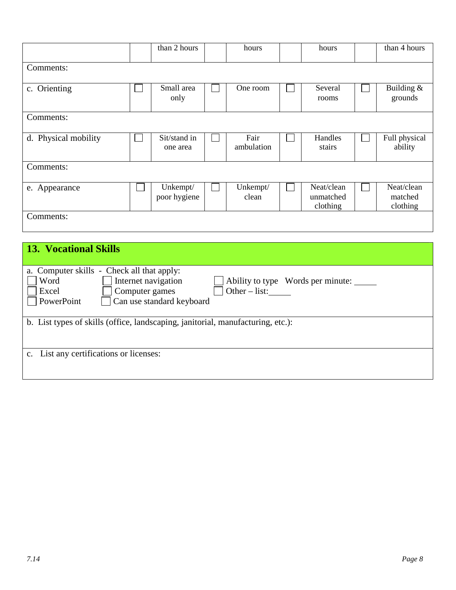|                      | than 2 hours             |  | hours              | hours                               | than 4 hours                      |
|----------------------|--------------------------|--|--------------------|-------------------------------------|-----------------------------------|
| Comments:            |                          |  |                    |                                     |                                   |
| c. Orienting         | Small area<br>only       |  | One room           | Several<br>rooms                    | Building &<br>grounds             |
| Comments:            |                          |  |                    |                                     |                                   |
| d. Physical mobility | Sit/stand in<br>one area |  | Fair<br>ambulation | Handles<br>stairs                   | Full physical<br>ability          |
| Comments:            |                          |  |                    |                                     |                                   |
| e. Appearance        | Unkempt/<br>poor hygiene |  | Unkempt/<br>clean  | Neat/clean<br>unmatched<br>clothing | Neat/clean<br>matched<br>clothing |
| Comments:            |                          |  |                    |                                     |                                   |

| <b>13. Vocational Skills</b>                                                                                                                                                                          |
|-------------------------------------------------------------------------------------------------------------------------------------------------------------------------------------------------------|
|                                                                                                                                                                                                       |
| a. Computer skills - Check all that apply:<br>Internet navigation<br>Word<br>Ability to type Words per minute:<br>Computer games<br>$Other-list:$<br>Excel<br>PowerPoint<br>Can use standard keyboard |
| b. List types of skills (office, landscaping, janitorial, manufacturing, etc.):                                                                                                                       |
| c. List any certifications or licenses:                                                                                                                                                               |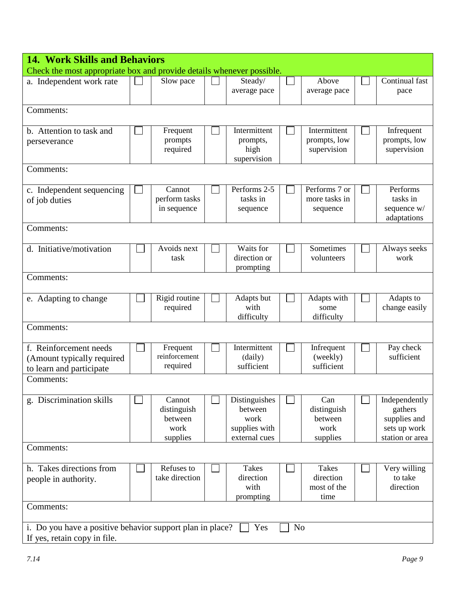| <b>14. Work Skills and Behaviors</b>                                                                               |  |                                                      |  |                                                                    |  |                                                   |                                                                             |
|--------------------------------------------------------------------------------------------------------------------|--|------------------------------------------------------|--|--------------------------------------------------------------------|--|---------------------------------------------------|-----------------------------------------------------------------------------|
| Check the most appropriate box and provide details whenever possible.                                              |  |                                                      |  |                                                                    |  |                                                   |                                                                             |
| a. Independent work rate                                                                                           |  | Slow pace                                            |  | Steady/<br>average pace                                            |  | Above<br>average pace                             | Continual fast<br>pace                                                      |
| Comments:                                                                                                          |  |                                                      |  |                                                                    |  |                                                   |                                                                             |
| b. Attention to task and<br>perseverance                                                                           |  | Frequent<br>prompts<br>required                      |  | Intermittent<br>prompts,<br>high<br>supervision                    |  | Intermittent<br>prompts, low<br>supervision       | Infrequent<br>prompts, low<br>supervision                                   |
| Comments:                                                                                                          |  |                                                      |  |                                                                    |  |                                                   |                                                                             |
| c. Independent sequencing<br>of job duties                                                                         |  | Cannot<br>perform tasks<br>in sequence               |  | Performs 2-5<br>tasks in<br>sequence                               |  | Performs 7 or<br>more tasks in<br>sequence        | Performs<br>tasks in<br>sequence w/<br>adaptations                          |
| Comments:                                                                                                          |  |                                                      |  |                                                                    |  |                                                   |                                                                             |
| d. Initiative/motivation                                                                                           |  | Avoids next<br>task                                  |  | Waits for<br>direction or<br>prompting                             |  | Sometimes<br>volunteers                           | Always seeks<br>work                                                        |
| Comments:                                                                                                          |  |                                                      |  |                                                                    |  |                                                   |                                                                             |
| e. Adapting to change                                                                                              |  | Rigid routine<br>required                            |  | Adapts but<br>with<br>difficulty                                   |  | Adapts with<br>some<br>difficulty                 | Adapts to<br>change easily                                                  |
| Comments:                                                                                                          |  |                                                      |  |                                                                    |  |                                                   |                                                                             |
| f. Reinforcement needs<br>(Amount typically required<br>to learn and participate                                   |  | Frequent<br>reinforcement<br>required                |  | Intermittent<br>(daily)<br>sufficient                              |  | Infrequent<br>(weekly)<br>sufficient              | Pay check<br>sufficient                                                     |
| Comments:                                                                                                          |  |                                                      |  |                                                                    |  |                                                   |                                                                             |
| g. Discrimination skills                                                                                           |  | Cannot<br>distinguish<br>between<br>work<br>supplies |  | Distinguishes<br>between<br>work<br>supplies with<br>external cues |  | Can<br>distinguish<br>between<br>work<br>supplies | Independently<br>gathers<br>supplies and<br>sets up work<br>station or area |
| Comments:                                                                                                          |  |                                                      |  |                                                                    |  |                                                   |                                                                             |
| h. Takes directions from<br>people in authority.                                                                   |  | Refuses to<br>take direction                         |  | <b>Takes</b><br>direction<br>with<br>prompting                     |  | <b>Takes</b><br>direction<br>most of the<br>time  | Very willing<br>to take<br>direction                                        |
| Comments:                                                                                                          |  |                                                      |  |                                                                    |  |                                                   |                                                                             |
| N <sub>o</sub><br>i. Do you have a positive behavior support plan in place?<br>Yes<br>If yes, retain copy in file. |  |                                                      |  |                                                                    |  |                                                   |                                                                             |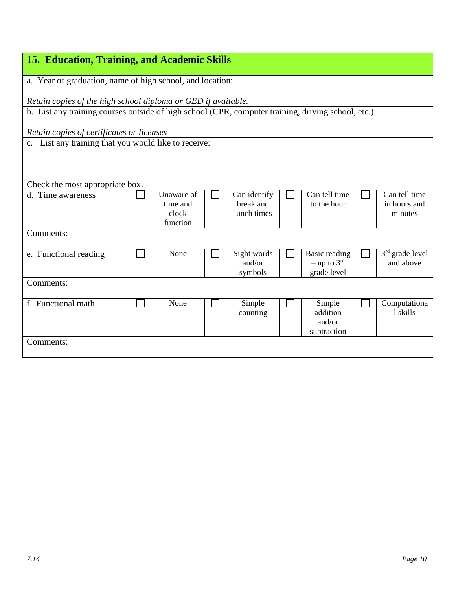| 15. Education, Training, and Academic Skills                                                        |  |            |  |              |  |                           |  |                   |
|-----------------------------------------------------------------------------------------------------|--|------------|--|--------------|--|---------------------------|--|-------------------|
|                                                                                                     |  |            |  |              |  |                           |  |                   |
| a. Year of graduation, name of high school, and location:                                           |  |            |  |              |  |                           |  |                   |
| Retain copies of the high school diploma or GED if available.                                       |  |            |  |              |  |                           |  |                   |
| b. List any training courses outside of high school (CPR, computer training, driving school, etc.): |  |            |  |              |  |                           |  |                   |
|                                                                                                     |  |            |  |              |  |                           |  |                   |
| Retain copies of certificates or licenses                                                           |  |            |  |              |  |                           |  |                   |
| c. List any training that you would like to receive:                                                |  |            |  |              |  |                           |  |                   |
|                                                                                                     |  |            |  |              |  |                           |  |                   |
|                                                                                                     |  |            |  |              |  |                           |  |                   |
| Check the most appropriate box.                                                                     |  |            |  |              |  |                           |  |                   |
| d. Time awareness                                                                                   |  | Unaware of |  | Can identify |  | Can tell time             |  | Can tell time     |
|                                                                                                     |  | time and   |  | break and    |  | to the hour               |  | in hours and      |
|                                                                                                     |  | clock      |  | lunch times  |  |                           |  | minutes           |
|                                                                                                     |  | function   |  |              |  |                           |  |                   |
| Comments:                                                                                           |  |            |  |              |  |                           |  |                   |
| e. Functional reading                                                                               |  | None       |  | Sight words  |  | Basic reading             |  | $3rd$ grade level |
|                                                                                                     |  |            |  | and/or       |  | $-$ up to 3 <sup>rd</sup> |  | and above         |
|                                                                                                     |  |            |  | symbols      |  | grade level               |  |                   |
| Comments:                                                                                           |  |            |  |              |  |                           |  |                   |
| f. Functional math                                                                                  |  | None       |  | Simple       |  | Simple                    |  | Computationa      |
|                                                                                                     |  |            |  | counting     |  | addition                  |  | 1 skills          |
|                                                                                                     |  |            |  |              |  | and/or                    |  |                   |
|                                                                                                     |  |            |  |              |  | subtraction               |  |                   |
| Comments:                                                                                           |  |            |  |              |  |                           |  |                   |
|                                                                                                     |  |            |  |              |  |                           |  |                   |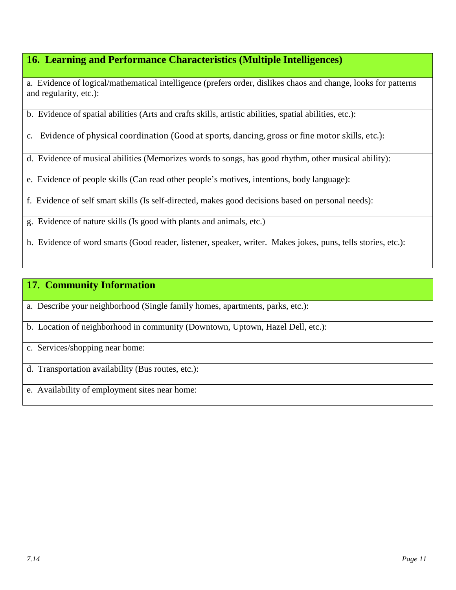## **16. Learning and Performance Characteristics (Multiple Intelligences)**

a. Evidence of logical/mathematical intelligence (prefers order, dislikes chaos and change, looks for patterns and regularity, etc.):

b. Evidence of spatial abilities (Arts and crafts skills, artistic abilities, spatial abilities, etc.):

c. Evidence of physical coordination (Good at sports, dancing, gross or fine motor skills, etc.):

d. Evidence of musical abilities (Memorizes words to songs, has good rhythm, other musical ability):

e. Evidence of people skills (Can read other people's motives, intentions, body language):

f. Evidence of self smart skills (Is self-directed, makes good decisions based on personal needs):

g. Evidence of nature skills (Is good with plants and animals, etc.)

h. Evidence of word smarts (Good reader, listener, speaker, writer. Makes jokes, puns, tells stories, etc.):

### **17. Community Information**

a. Describe your neighborhood (Single family homes, apartments, parks, etc.):

b. Location of neighborhood in community (Downtown, Uptown, Hazel Dell, etc.):

c. Services/shopping near home:

d. Transportation availability (Bus routes, etc.):

e. Availability of employment sites near home: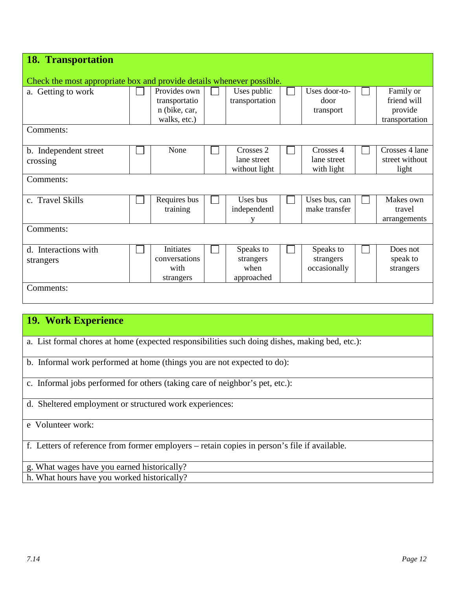| <b>18. Transportation</b>                                             |                                                                |                                              |                                        |                                                       |
|-----------------------------------------------------------------------|----------------------------------------------------------------|----------------------------------------------|----------------------------------------|-------------------------------------------------------|
| Check the most appropriate box and provide details whenever possible. |                                                                |                                              |                                        |                                                       |
| a. Getting to work                                                    | Provides own<br>transportatio<br>n (bike, car,<br>walks, etc.) | Uses public<br>transportation                | Uses door-to-<br>door<br>transport     | Family or<br>friend will<br>provide<br>transportation |
| Comments:                                                             |                                                                |                                              |                                        |                                                       |
| b. Independent street<br>crossing                                     | None                                                           | Crosses 2<br>lane street<br>without light    | Crosses 4<br>lane street<br>with light | Crosses 4 lane<br>street without<br>light             |
| Comments:                                                             |                                                                |                                              |                                        |                                                       |
| c. Travel Skills                                                      | Requires bus<br>training                                       | Uses bus<br>independentl<br>v                | Uses bus, can<br>make transfer         | Makes own<br>travel<br>arrangements                   |
| Comments:                                                             |                                                                |                                              |                                        |                                                       |
| d. Interactions with<br>strangers<br>Comments:                        | <b>Initiates</b><br>conversations<br>with<br>strangers         | Speaks to<br>strangers<br>when<br>approached | Speaks to<br>strangers<br>occasionally | Does not<br>speak to<br>strangers                     |
|                                                                       |                                                                |                                              |                                        |                                                       |

## **19. Work Experience**

- a. List formal chores at home (expected responsibilities such doing dishes, making bed, etc.):
- b. Informal work performed at home (things you are not expected to do):
- c. Informal jobs performed for others (taking care of neighbor's pet, etc.):
- d. Sheltered employment or structured work experiences:
- e Volunteer work:

f. Letters of reference from former employers – retain copies in person's file if available.

g. What wages have you earned historically?

h. What hours have you worked historically?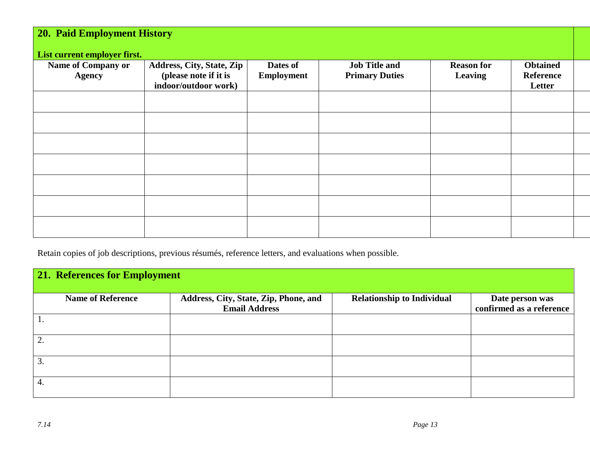| <b>20. Paid Employment History</b>                                         |                                                                            |                               |                                               |                              |                                               |  |  |  |  |
|----------------------------------------------------------------------------|----------------------------------------------------------------------------|-------------------------------|-----------------------------------------------|------------------------------|-----------------------------------------------|--|--|--|--|
| List current employer first.<br><b>Name of Company or</b><br><b>Agency</b> | Address, City, State, Zip<br>(please note if it is<br>indoor/outdoor work) | Dates of<br><b>Employment</b> | <b>Job Title and</b><br><b>Primary Duties</b> | <b>Reason for</b><br>Leaving | <b>Obtained</b><br><b>Reference</b><br>Letter |  |  |  |  |
|                                                                            |                                                                            |                               |                                               |                              |                                               |  |  |  |  |
|                                                                            |                                                                            |                               |                                               |                              |                                               |  |  |  |  |
|                                                                            |                                                                            |                               |                                               |                              |                                               |  |  |  |  |
|                                                                            |                                                                            |                               |                                               |                              |                                               |  |  |  |  |
|                                                                            |                                                                            |                               |                                               |                              |                                               |  |  |  |  |
|                                                                            |                                                                            |                               |                                               |                              |                                               |  |  |  |  |
|                                                                            |                                                                            |                               |                                               |                              |                                               |  |  |  |  |

Retain copies of job descriptions, previous résumés, reference letters, and evaluations when possible.

| <b>21. References for Employment</b> |                                                               |                                   |                                             |  |  |  |  |  |  |
|--------------------------------------|---------------------------------------------------------------|-----------------------------------|---------------------------------------------|--|--|--|--|--|--|
| <b>Name of Reference</b>             | Address, City, State, Zip, Phone, and<br><b>Email Address</b> | <b>Relationship to Individual</b> | Date person was<br>confirmed as a reference |  |  |  |  |  |  |
|                                      |                                                               |                                   |                                             |  |  |  |  |  |  |
| 2.                                   |                                                               |                                   |                                             |  |  |  |  |  |  |
| 3                                    |                                                               |                                   |                                             |  |  |  |  |  |  |
| 4.                                   |                                                               |                                   |                                             |  |  |  |  |  |  |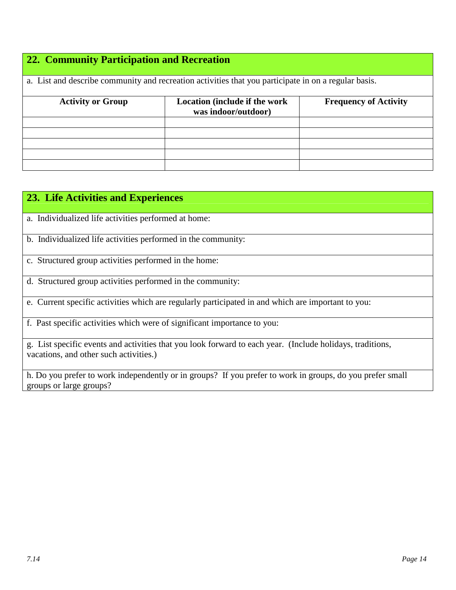# **22. Community Participation and Recreation**

| a. List and describe community and recreation activities that you participate in on a regular basis. |                                                      |                              |  |  |  |  |  |
|------------------------------------------------------------------------------------------------------|------------------------------------------------------|------------------------------|--|--|--|--|--|
| <b>Activity or Group</b>                                                                             | Location (include if the work<br>was indoor/outdoor) | <b>Frequency of Activity</b> |  |  |  |  |  |
|                                                                                                      |                                                      |                              |  |  |  |  |  |
|                                                                                                      |                                                      |                              |  |  |  |  |  |
|                                                                                                      |                                                      |                              |  |  |  |  |  |
|                                                                                                      |                                                      |                              |  |  |  |  |  |
|                                                                                                      |                                                      |                              |  |  |  |  |  |

| 23. Life Activities and Experiences                                                                                                                 |
|-----------------------------------------------------------------------------------------------------------------------------------------------------|
| a. Individualized life activities performed at home:                                                                                                |
| b. Individualized life activities performed in the community:                                                                                       |
| c. Structured group activities performed in the home:                                                                                               |
| d. Structured group activities performed in the community:                                                                                          |
| e. Current specific activities which are regularly participated in and which are important to you:                                                  |
| f. Past specific activities which were of significant importance to you:                                                                            |
| g. List specific events and activities that you look forward to each year. (Include holidays, traditions,<br>vacations, and other such activities.) |
| h. Do you prefer to work independently or in groups? If you prefer to work in groups, do you prefer small<br>groups or large groups?                |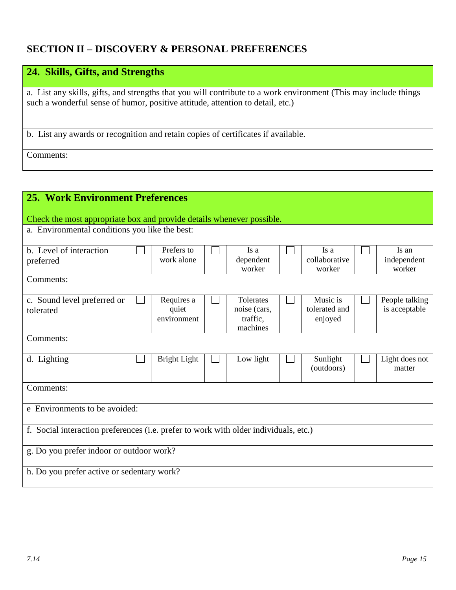## **SECTION II – DISCOVERY & PERSONAL PREFERENCES**

| 24. Skills, Gifts, and Strengths                                                                                                                                                                   |
|----------------------------------------------------------------------------------------------------------------------------------------------------------------------------------------------------|
|                                                                                                                                                                                                    |
| a. List any skills, gifts, and strengths that you will contribute to a work environment (This may include things<br>such a wonderful sense of humor, positive attitude, attention to detail, etc.) |
| b. List any awards or recognition and retain copies of certificates if available.                                                                                                                  |
| Comments:                                                                                                                                                                                          |

| <b>25. Work Environment Preferences</b>                                              |  |                                    |  |                                                   |  |                                      |                                 |
|--------------------------------------------------------------------------------------|--|------------------------------------|--|---------------------------------------------------|--|--------------------------------------|---------------------------------|
| Check the most appropriate box and provide details whenever possible.                |  |                                    |  |                                                   |  |                                      |                                 |
| a. Environmental conditions you like the best:                                       |  |                                    |  |                                                   |  |                                      |                                 |
| b. Level of interaction<br>preferred                                                 |  | Prefers to<br>work alone           |  | Is a<br>dependent<br>worker                       |  | Is a<br>collaborative<br>worker      | Is an<br>independent<br>worker  |
| Comments:                                                                            |  |                                    |  |                                                   |  |                                      |                                 |
| c. Sound level preferred or<br>tolerated                                             |  | Requires a<br>quiet<br>environment |  | Tolerates<br>noise (cars,<br>traffic.<br>machines |  | Music is<br>tolerated and<br>enjoyed | People talking<br>is acceptable |
| Comments:                                                                            |  |                                    |  |                                                   |  |                                      |                                 |
| d. Lighting                                                                          |  | <b>Bright Light</b>                |  | Low light                                         |  | Sunlight<br>(outdoors)               | Light does not<br>matter        |
| Comments:                                                                            |  |                                    |  |                                                   |  |                                      |                                 |
| e Environments to be avoided:                                                        |  |                                    |  |                                                   |  |                                      |                                 |
| f. Social interaction preferences (i.e. prefer to work with older individuals, etc.) |  |                                    |  |                                                   |  |                                      |                                 |
| g. Do you prefer indoor or outdoor work?                                             |  |                                    |  |                                                   |  |                                      |                                 |
| h. Do you prefer active or sedentary work?                                           |  |                                    |  |                                                   |  |                                      |                                 |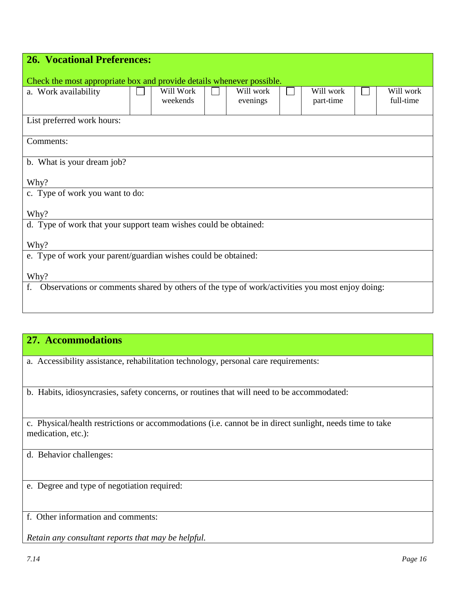| <b>26. Vocational Preferences:</b>                                                                   |  |                       |  |                       |  |                        |  |                        |
|------------------------------------------------------------------------------------------------------|--|-----------------------|--|-----------------------|--|------------------------|--|------------------------|
|                                                                                                      |  |                       |  |                       |  |                        |  |                        |
| Check the most appropriate box and provide details whenever possible.<br>a. Work availability        |  | Will Work<br>weekends |  | Will work<br>evenings |  | Will work<br>part-time |  | Will work<br>full-time |
| List preferred work hours:                                                                           |  |                       |  |                       |  |                        |  |                        |
| Comments:                                                                                            |  |                       |  |                       |  |                        |  |                        |
| b. What is your dream job?                                                                           |  |                       |  |                       |  |                        |  |                        |
| Why?                                                                                                 |  |                       |  |                       |  |                        |  |                        |
| c. Type of work you want to do:                                                                      |  |                       |  |                       |  |                        |  |                        |
| Why?                                                                                                 |  |                       |  |                       |  |                        |  |                        |
| d. Type of work that your support team wishes could be obtained:                                     |  |                       |  |                       |  |                        |  |                        |
| Why?                                                                                                 |  |                       |  |                       |  |                        |  |                        |
| e. Type of work your parent/guardian wishes could be obtained:                                       |  |                       |  |                       |  |                        |  |                        |
| Why?                                                                                                 |  |                       |  |                       |  |                        |  |                        |
| Observations or comments shared by others of the type of work/activities you most enjoy doing:<br>f. |  |                       |  |                       |  |                        |  |                        |

### **27. Accommodations**

a. Accessibility assistance, rehabilitation technology, personal care requirements:

b. Habits, idiosyncrasies, safety concerns, or routines that will need to be accommodated:

c. Physical/health restrictions or accommodations (i.e. cannot be in direct sunlight, needs time to take medication, etc.):

d. Behavior challenges:

e. Degree and type of negotiation required:

f. Other information and comments:

*Retain any consultant reports that may be helpful.*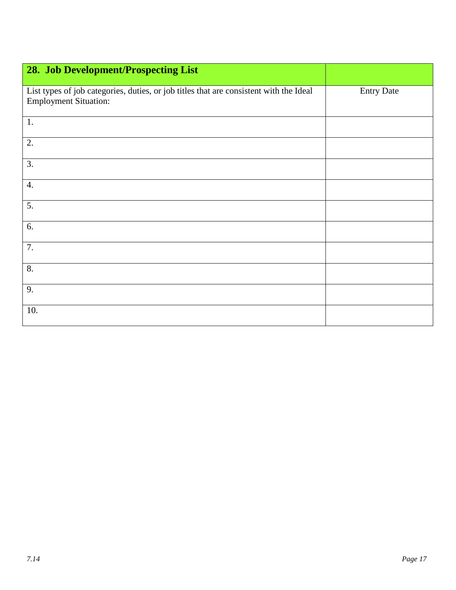| 28. Job Development/Prospecting List                                                                                   |                   |
|------------------------------------------------------------------------------------------------------------------------|-------------------|
|                                                                                                                        |                   |
| List types of job categories, duties, or job titles that are consistent with the Ideal<br><b>Employment Situation:</b> | <b>Entry Date</b> |
| 1.                                                                                                                     |                   |
| 2.                                                                                                                     |                   |
| $\overline{3}$ .                                                                                                       |                   |
| $\boldsymbol{4}$ .                                                                                                     |                   |
| 5.                                                                                                                     |                   |
| 6.                                                                                                                     |                   |
| 7.                                                                                                                     |                   |
| 8.                                                                                                                     |                   |
| 9.                                                                                                                     |                   |
| 10.                                                                                                                    |                   |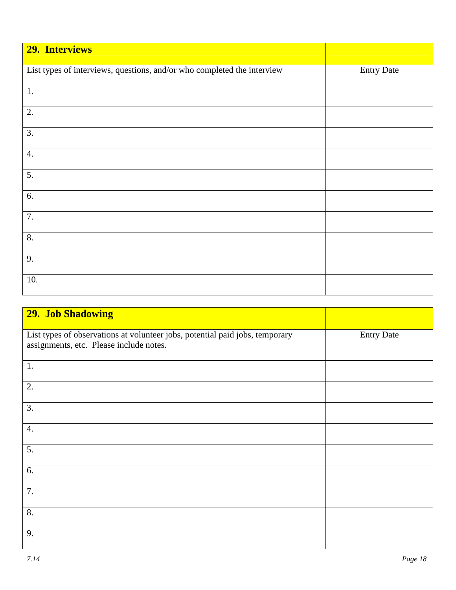| 29. Interviews                                                          |                   |
|-------------------------------------------------------------------------|-------------------|
| List types of interviews, questions, and/or who completed the interview | <b>Entry Date</b> |
| 1.                                                                      |                   |
| 2.                                                                      |                   |
| $\overline{3}$ .                                                        |                   |
| 4.                                                                      |                   |
| 5.                                                                      |                   |
| 6.                                                                      |                   |
| 7.                                                                      |                   |
| 8.                                                                      |                   |
| 9.                                                                      |                   |
| 10.                                                                     |                   |

| <b>29. Job Shadowing</b>                                                                                                |                   |
|-------------------------------------------------------------------------------------------------------------------------|-------------------|
| List types of observations at volunteer jobs, potential paid jobs, temporary<br>assignments, etc. Please include notes. | <b>Entry Date</b> |
| 1.                                                                                                                      |                   |
| 2.                                                                                                                      |                   |
| 3.                                                                                                                      |                   |
| $\overline{4}$ .                                                                                                        |                   |
| 5.                                                                                                                      |                   |
| 6.                                                                                                                      |                   |
| 7.                                                                                                                      |                   |
| 8.                                                                                                                      |                   |
| 9.                                                                                                                      |                   |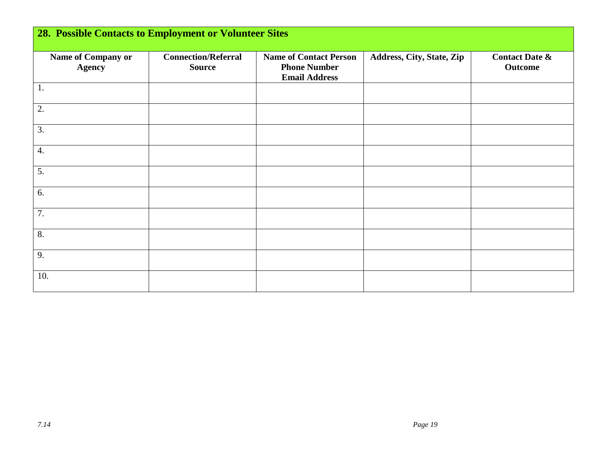| <b>28. Possible Contacts to Employment or Volunteer Sites</b> |                                             |                                                                              |                           |                                             |  |
|---------------------------------------------------------------|---------------------------------------------|------------------------------------------------------------------------------|---------------------------|---------------------------------------------|--|
| Name of Company or<br><b>Agency</b>                           | <b>Connection/Referral</b><br><b>Source</b> | <b>Name of Contact Person</b><br><b>Phone Number</b><br><b>Email Address</b> | Address, City, State, Zip | <b>Contact Date &amp;</b><br><b>Outcome</b> |  |
| 1.                                                            |                                             |                                                                              |                           |                                             |  |
| 2.                                                            |                                             |                                                                              |                           |                                             |  |
| 3.                                                            |                                             |                                                                              |                           |                                             |  |
| 4.                                                            |                                             |                                                                              |                           |                                             |  |
| 5.                                                            |                                             |                                                                              |                           |                                             |  |
| 6.                                                            |                                             |                                                                              |                           |                                             |  |
| 7.                                                            |                                             |                                                                              |                           |                                             |  |
| 8.                                                            |                                             |                                                                              |                           |                                             |  |
| 9.                                                            |                                             |                                                                              |                           |                                             |  |
| 10.                                                           |                                             |                                                                              |                           |                                             |  |